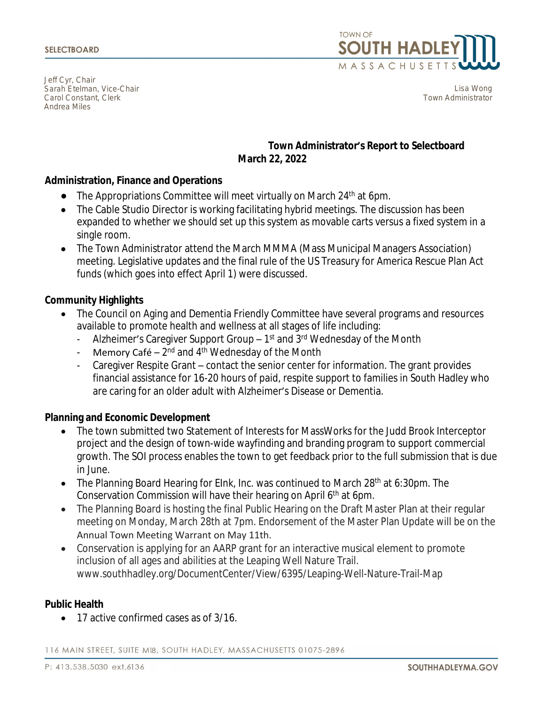Jeff Cyr, Chair Sarah Etelman, Vice-Chair Carol Constant, Clerk Andrea Miles



Lisa Wong Town Administrator

## **Town Administrator's Report to Selectboard March 22, 2022**

## **Administration, Finance and Operations**

- $\bullet$  The Appropriations Committee will meet virtually on March 24<sup>th</sup> at 6pm.
- The Cable Studio Director is working facilitating hybrid meetings. The discussion has been expanded to whether we should set up this system as movable carts versus a fixed system in a single room.
- The Town Administrator attend the March MMMA (Mass Municipal Managers Association) meeting. Legislative updates and the final rule of the US Treasury for America Rescue Plan Act funds (which goes into effect April 1) were discussed.

### **Community Highlights**

- The Council on Aging and Dementia Friendly Committee have several programs and resources available to promote health and wellness at all stages of life including:
	- Alzheimer's Caregiver Support Group  $-1$ <sup>st</sup> and  $3$ <sup>rd</sup> Wednesday of the Month
	- Memory Café  $2^{nd}$  and  $4^{th}$  Wednesday of the Month
	- Caregiver Respite Grant contact the senior center for information. The grant provides financial assistance for 16-20 hours of paid, respite support to families in South Hadley who are caring for an older adult with Alzheimer's Disease or Dementia.

## **Planning and Economic Development**

- The town submitted two Statement of Interests for MassWorks for the Judd Brook Interceptor project and the design of town-wide wayfinding and branding program to support commercial growth. The SOI process enables the town to get feedback prior to the full submission that is due in June.
- The Planning Board Hearing for Elnk, Inc. was continued to March 28<sup>th</sup> at 6:30pm. The Conservation Commission will have their hearing on April 6th at 6pm.
- The Planning Board is hosting the final Public Hearing on the Draft Master Plan at their regular meeting on Monday, March 28th at 7pm. Endorsement of the Master Plan Update will be on the Annual Town Meeting Warrant on May 11th.
- Conservation is applying for an AARP grant for an interactive musical element to promote inclusion of all ages and abilities at the Leaping Well Nature Trail. www.southhadley.org/DocumentCenter/View/6395/Leaping-Well-Nature-Trail-Map

### **Public Health**

• 17 active confirmed cases as of 3/16.

116 MAIN STREET, SUITE MI8, SOUTH HADLEY, MASSACHUSETTS 01075-2896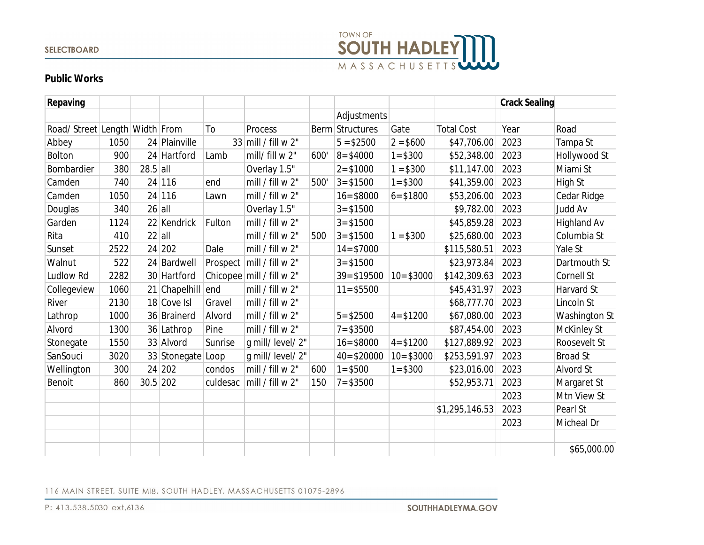#### **SELECTBOARD**



# **Public Works**

| Repaving                      |      |            |                   |          |                                   |     |                 |              |                   | <b>Crack Sealing</b> |                    |
|-------------------------------|------|------------|-------------------|----------|-----------------------------------|-----|-----------------|--------------|-------------------|----------------------|--------------------|
|                               |      |            |                   |          |                                   |     | Adjustments     |              |                   |                      |                    |
| Road/Street Length Width From |      |            |                   | To       | Process                           |     | Berm Structures | Gate         | <b>Total Cost</b> | Year                 | Road               |
| Abbey                         | 1050 |            | 24 Plainville     |          | 33 mill / fill w 2"               |     | $5 = $2500$     | $2 = $600$   | \$47,706.00       | 2023                 | Tampa St           |
| <b>Bolton</b>                 | 900  |            | 24 Hartford       | Lamb     | mill/ fill w 2"                   | 600 | $8 = $4000$     | $1 = $300$   | \$52,348.00       | 2023                 | Hollywood St       |
| Bombardier                    | 380  | $28.5$ all |                   |          | Overlay 1.5"                      |     | $2 = $1000$     | $1 = $300$   | \$11,147.00       | 2023                 | Miami St           |
| Camden                        | 740  |            | 24 116            | end      | mill / fill w 2"                  | 500 | $3 = $1500$     | $1 = $300$   | \$41,359.00       | 2023                 | High St            |
| Camden                        | 1050 |            | 24 116            | Lawn     | mill / fill w 2"                  |     | $16 = $8000$    | $6 = $1800$  | \$53,206.00       | 2023                 | Cedar Ridge        |
| Douglas                       | 340  | $26$ all   |                   |          | Overlay 1.5"                      |     | $3 = $1500$     |              | \$9,782.00        | 2023                 | Judd Av            |
| Garden                        | 1124 |            | 22 Kendrick       | Fulton   | mill / fill w 2"                  |     | $3 = $1500$     |              | \$45,859.28       | 2023                 | <b>Highland Av</b> |
| Rita                          | 410  | $22$ all   |                   |          | mill / fill w 2"                  | 500 | $3 = $1500$     | $1 = $300$   | \$25,680.00       | 2023                 | Columbia St        |
| Sunset                        | 2522 |            | 24 202            | Dale     | mill / fill w 2"                  |     | $14 = $7000$    |              | \$115,580.51      | 2023                 | Yale St            |
| Walnut                        | 522  |            | 24 Bardwell       |          | Prospect $\vert$ mill / fill w 2" |     | $3 = $1500$     |              | \$23,973.84       | 2023                 | Dartmouth St       |
| Ludlow Rd                     | 2282 |            | 30 Hartford       |          | Chicopee $\vert$ mill / fill w 2" |     | $39 = $19500$   | $10 = $3000$ | \$142,309.63      | 2023                 | Cornell St         |
| Collegeview                   | 1060 |            | 21 Chapelhill end |          | mill / fill w 2"                  |     | $11 = $5500$    |              | \$45,431.97       | 2023                 | Harvard St         |
| River                         | 2130 |            | 18 Cove Isl       | Gravel   | mill / fill $w 2"$                |     |                 |              | \$68,777.70       | 2023                 | Lincoln St         |
| Lathrop                       | 1000 |            | 36 Brainerd       | Alvord   | mill / fill $w$ 2"                |     | $5 = $2500$     | $4 = $1200$  | \$67,080.00       | 2023                 | Washington St      |
| Alvord                        | 1300 |            | 36 Lathrop        | Pine     | mill / fill $w$ 2"                |     | $7 = $3500$     |              | \$87,454.00       | 2023                 | McKinley St        |
| Stonegate                     | 1550 |            | 33 Alvord         | Sunrise  | g mill/level/2"                   |     | $16 = $8000$    | $4 = $1200$  | \$127,889.92      | 2023                 | Roosevelt St       |
| SanSouci                      | 3020 |            | 33 Stonegate Loop |          | g mill/level/2"                   |     | $40 = $20000$   | $10 = $3000$ | \$253,591.97      | 2023                 | <b>Broad St</b>    |
| Wellington                    | 300  |            | 24 202            | condos   | mill / fill w 2"                  | 600 | $1 = $500$      | $1 = $300$   | \$23,016.00       | 2023                 | Alvord St          |
| Benoit                        | 860  | $30.5$ 202 |                   | culdesac | mill / fill w 2"                  | 150 | $7 = $3500$     |              | \$52,953.71       | 2023                 | Margaret St        |
|                               |      |            |                   |          |                                   |     |                 |              |                   | 2023                 | Mtn View St        |
|                               |      |            |                   |          |                                   |     |                 |              | \$1,295,146.53    | 2023                 | Pearl St           |
|                               |      |            |                   |          |                                   |     |                 |              |                   | 2023                 | Micheal Dr         |
|                               |      |            |                   |          |                                   |     |                 |              |                   |                      |                    |
|                               |      |            |                   |          |                                   |     |                 |              |                   |                      | \$65,000.00        |

#### 116 MAIN STREET, SUITE MI8, SOUTH HADLEY, MASSACHUSETTS 01075-2896

P: 413.538.5030 ext.6136